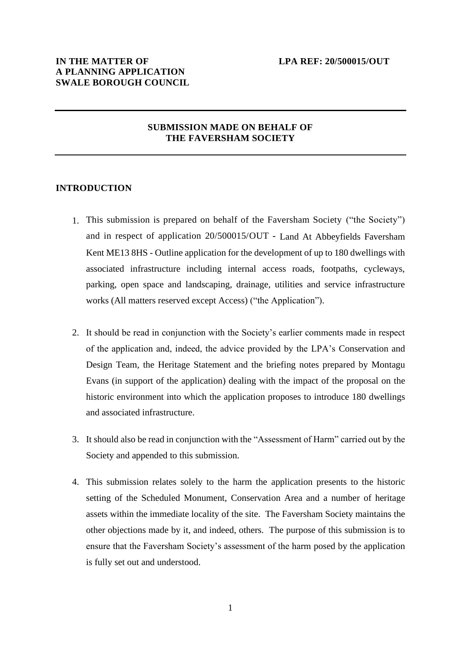# **SUBMISSION MADE ON BEHALF OF THE FAVERSHAM SOCIETY**

### **INTRODUCTION**

- 1. This submission is prepared on behalf of the Faversham Society ("the Society") and in respect of application 20/500015/OUT **-** Land At Abbeyfields Faversham Kent ME13 8HS - Outline application for the development of up to 180 dwellings with associated infrastructure including internal access roads, footpaths, cycleways, parking, open space and landscaping, drainage, utilities and service infrastructure works (All matters reserved except Access) ("the Application").
- 2. It should be read in conjunction with the Society's earlier comments made in respect of the application and, indeed, the advice provided by the LPA's Conservation and Design Team, the Heritage Statement and the briefing notes prepared by Montagu Evans (in support of the application) dealing with the impact of the proposal on the historic environment into which the application proposes to introduce 180 dwellings and associated infrastructure.
- 3. It should also be read in conjunction with the "Assessment of Harm" carried out by the Society and appended to this submission.
- 4. This submission relates solely to the harm the application presents to the historic setting of the Scheduled Monument, Conservation Area and a number of heritage assets within the immediate locality of the site. The Faversham Society maintains the other objections made by it, and indeed, others. The purpose of this submission is to ensure that the Faversham Society's assessment of the harm posed by the application is fully set out and understood.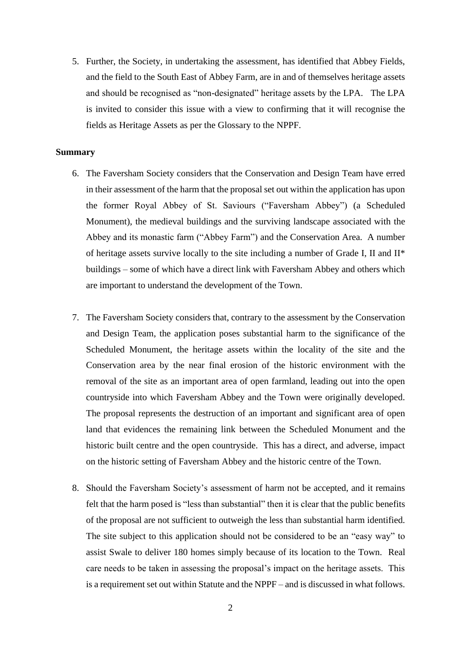5. Further, the Society, in undertaking the assessment, has identified that Abbey Fields, and the field to the South East of Abbey Farm, are in and of themselves heritage assets and should be recognised as "non-designated" heritage assets by the LPA. The LPA is invited to consider this issue with a view to confirming that it will recognise the fields as Heritage Assets as per the Glossary to the NPPF.

### **Summary**

- 6. The Faversham Society considers that the Conservation and Design Team have erred in their assessment of the harm that the proposal set out within the application has upon the former Royal Abbey of St. Saviours ("Faversham Abbey") (a Scheduled Monument), the medieval buildings and the surviving landscape associated with the Abbey and its monastic farm ("Abbey Farm") and the Conservation Area. A number of heritage assets survive locally to the site including a number of Grade I, II and II\* buildings – some of which have a direct link with Faversham Abbey and others which are important to understand the development of the Town.
- 7. The Faversham Society considers that, contrary to the assessment by the Conservation and Design Team, the application poses substantial harm to the significance of the Scheduled Monument, the heritage assets within the locality of the site and the Conservation area by the near final erosion of the historic environment with the removal of the site as an important area of open farmland, leading out into the open countryside into which Faversham Abbey and the Town were originally developed. The proposal represents the destruction of an important and significant area of open land that evidences the remaining link between the Scheduled Monument and the historic built centre and the open countryside. This has a direct, and adverse, impact on the historic setting of Faversham Abbey and the historic centre of the Town.
- 8. Should the Faversham Society's assessment of harm not be accepted, and it remains felt that the harm posed is "less than substantial" then it is clear that the public benefits of the proposal are not sufficient to outweigh the less than substantial harm identified. The site subject to this application should not be considered to be an "easy way" to assist Swale to deliver 180 homes simply because of its location to the Town. Real care needs to be taken in assessing the proposal's impact on the heritage assets. This is a requirement set out within Statute and the NPPF – and is discussed in what follows.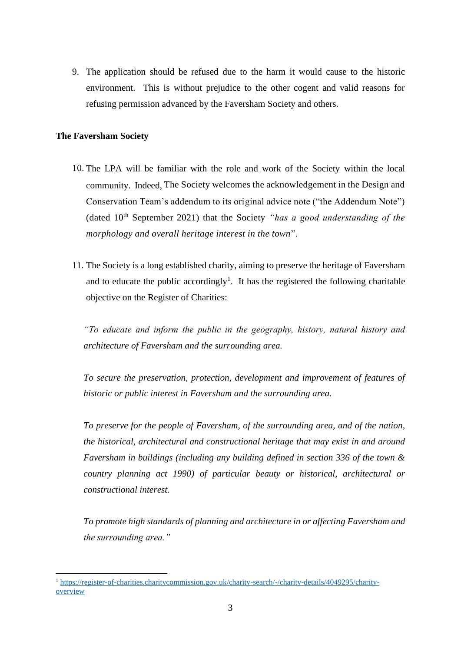9. The application should be refused due to the harm it would cause to the historic environment. This is without prejudice to the other cogent and valid reasons for refusing permission advanced by the Faversham Society and others.

# **The Faversham Society**

- 10. The LPA will be familiar with the role and work of the Society within the local community. Indeed, The Society welcomes the acknowledgement in the Design and Conservation Team's addendum to its original advice note ("the Addendum Note") (dated 10th September 2021) that the Society *"has a good understanding of the morphology and overall heritage interest in the town*".
- 11. The Society is a long established charity, aiming to preserve the heritage of Faversham and to educate the public accordingly<sup>1</sup>. It has the registered the following charitable objective on the Register of Charities:

*"To educate and inform the public in the geography, history, natural history and architecture of Faversham and the surrounding area.* 

*To secure the preservation, protection, development and improvement of features of historic or public interest in Faversham and the surrounding area.* 

*To preserve for the people of Faversham, of the surrounding area, and of the nation, the historical, architectural and constructional heritage that may exist in and around Faversham in buildings (including any building defined in section 336 of the town & country planning act 1990) of particular beauty or historical, architectural or constructional interest.* 

*To promote high standards of planning and architecture in or affecting Faversham and the surrounding area."*

<sup>1</sup> [https://register-of-charities.charitycommission.gov.uk/charity-search/-/charity-details/4049295/charity](https://register-of-charities.charitycommission.gov.uk/charity-search/-/charity-details/4049295/charity-overview)[overview](https://register-of-charities.charitycommission.gov.uk/charity-search/-/charity-details/4049295/charity-overview)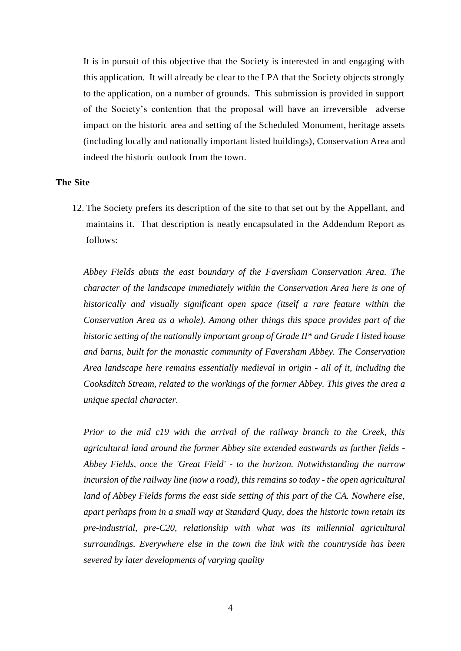It is in pursuit of this objective that the Society is interested in and engaging with this application. It will already be clear to the LPA that the Society objects strongly to the application, on a number of grounds. This submission is provided in support of the Society's contention that the proposal will have an irreversible adverse impact on the historic area and setting of the Scheduled Monument, heritage assets (including locally and nationally important listed buildings), Conservation Area and indeed the historic outlook from the town.

# **The Site**

12. The Society prefers its description of the site to that set out by the Appellant, and maintains it. That description is neatly encapsulated in the Addendum Report as follows:

*Abbey Fields abuts the east boundary of the Faversham Conservation Area. The character of the landscape immediately within the Conservation Area here is one of historically and visually significant open space (itself a rare feature within the Conservation Area as a whole). Among other things this space provides part of the historic setting of the nationally important group of Grade II\* and Grade I listed house and barns, built for the monastic community of Faversham Abbey. The Conservation Area landscape here remains essentially medieval in origin - all of it, including the Cooksditch Stream, related to the workings of the former Abbey. This gives the area a unique special character.* 

*Prior to the mid c19 with the arrival of the railway branch to the Creek, this agricultural land around the former Abbey site extended eastwards as further fields - Abbey Fields, once the 'Great Field' - to the horizon. Notwithstanding the narrow incursion of the railway line (now a road), this remains so today - the open agricultural land of Abbey Fields forms the east side setting of this part of the CA. Nowhere else, apart perhaps from in a small way at Standard Quay, does the historic town retain its pre-industrial, pre-C20, relationship with what was its millennial agricultural surroundings. Everywhere else in the town the link with the countryside has been severed by later developments of varying quality*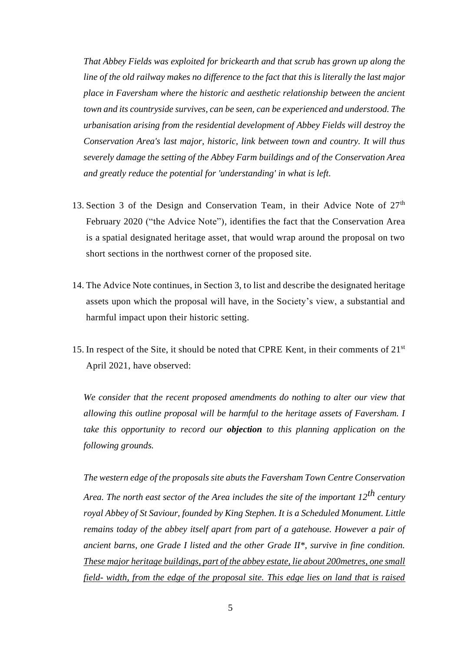*That Abbey Fields was exploited for brickearth and that scrub has grown up along the line of the old railway makes no difference to the fact that this is literally the last major place in Faversham where the historic and aesthetic relationship between the ancient town and its countryside survives, can be seen, can be experienced and understood. The urbanisation arising from the residential development of Abbey Fields will destroy the Conservation Area's last major, historic, link between town and country. It will thus severely damage the setting of the Abbey Farm buildings and of the Conservation Area and greatly reduce the potential for 'understanding' in what is left.*

- 13. Section 3 of the Design and Conservation Team, in their Advice Note of  $27<sup>th</sup>$ February 2020 ("the Advice Note"), identifies the fact that the Conservation Area is a spatial designated heritage asset, that would wrap around the proposal on two short sections in the northwest corner of the proposed site.
- 14. The Advice Note continues, in Section 3, to list and describe the designated heritage assets upon which the proposal will have, in the Society's view, a substantial and harmful impact upon their historic setting.
- 15. In respect of the Site, it should be noted that CPRE Kent, in their comments of  $21<sup>st</sup>$ April 2021, have observed:

*We consider that the recent proposed amendments do nothing to alter our view that allowing this outline proposal will be harmful to the heritage assets of Faversham. I take this opportunity to record our objection to this planning application on the following grounds.* 

*The western edge of the proposals site abuts the Faversham Town Centre Conservation Area. The north east sector of the Area includes the site of the important 12th century royal Abbey of St Saviour, founded by King Stephen. It is a Scheduled Monument. Little remains today of the abbey itself apart from part of a gatehouse. However a pair of ancient barns, one Grade I listed and the other Grade II\*, survive in fine condition. These major heritage buildings, part of the abbey estate, lie about 200metres, one small field- width, from the edge of the proposal site. This edge lies on land that is raised*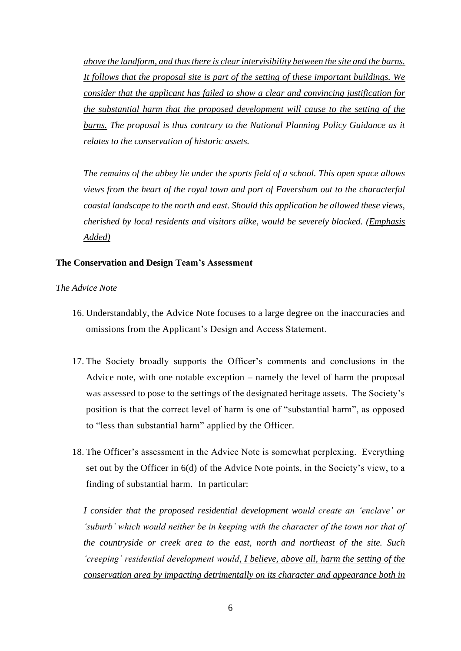*above the landform, and thus there is clear intervisibility between the site and the barns. It follows that the proposal site is part of the setting of these important buildings. We consider that the applicant has failed to show a clear and convincing justification for the substantial harm that the proposed development will cause to the setting of the barns. The proposal is thus contrary to the National Planning Policy Guidance as it relates to the conservation of historic assets.* 

*The remains of the abbey lie under the sports field of a school. This open space allows views from the heart of the royal town and port of Faversham out to the characterful coastal landscape to the north and east. Should this application be allowed these views, cherished by local residents and visitors alike, would be severely blocked. (Emphasis Added)*

## **The Conservation and Design Team's Assessment**

## *The Advice Note*

- 16. Understandably, the Advice Note focuses to a large degree on the inaccuracies and omissions from the Applicant's Design and Access Statement.
- 17. The Society broadly supports the Officer's comments and conclusions in the Advice note, with one notable exception – namely the level of harm the proposal was assessed to pose to the settings of the designated heritage assets. The Society's position is that the correct level of harm is one of "substantial harm", as opposed to "less than substantial harm" applied by the Officer.
- 18. The Officer's assessment in the Advice Note is somewhat perplexing. Everything set out by the Officer in 6(d) of the Advice Note points, in the Society's view, to a finding of substantial harm. In particular:

*I consider that the proposed residential development would create an 'enclave' or 'suburb' which would neither be in keeping with the character of the town nor that of the countryside or creek area to the east, north and northeast of the site. Such 'creeping' residential development would, I believe, above all, harm the setting of the conservation area by impacting detrimentally on its character and appearance both in*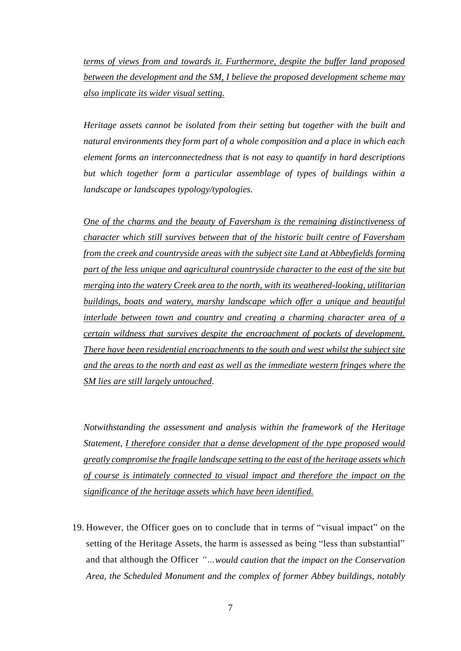*terms of views from and towards it. Furthermore, despite the buffer land proposed between the development and the SM, I believe the proposed development scheme may also implicate its wider visual setting.* 

*Heritage assets cannot be isolated from their setting but together with the built and natural environments they form part of a whole composition and a place in which each element forms an interconnectedness that is not easy to quantify in hard descriptions but which together form a particular assemblage of types of buildings within a landscape or landscapes typology/typologies.* 

*One of the charms and the beauty of Faversham is the remaining distinctiveness of character which still survives between that of the historic built centre of Faversham from the creek and countryside areas with the subject site Land at Abbeyfields forming part of the less unique and agricultural countryside character to the east of the site but merging into the watery Creek area to the north, with its weathered-looking, utilitarian buildings, boats and watery, marshy landscape which offer a unique and beautiful interlude between town and country and creating a charming character area of a certain wildness that survives despite the encroachment of pockets of development. There have been residential encroachments to the south and west whilst the subject site and the areas to the north and east as well as the immediate western fringes where the SM lies are still largely untouched.* 

*Notwithstanding the assessment and analysis within the framework of the Heritage Statement, I therefore consider that a dense development of the type proposed would greatly compromise the fragile landscape setting to the east of the heritage assets which of course is intimately connected to visual impact and therefore the impact on the significance of the heritage assets which have been identified.*

19. However, the Officer goes on to conclude that in terms of "visual impact" on the setting of the Heritage Assets, the harm is assessed as being "less than substantial" and that although the Officer *"…would caution that the impact on the Conservation Area, the Scheduled Monument and the complex of former Abbey buildings, notably*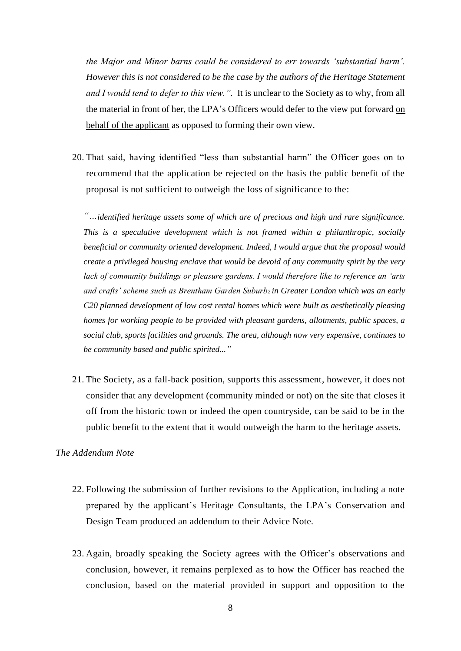*the Major and Minor barns could be considered to err towards 'substantial harm'. However this is not considered to be the case by the authors of the Heritage Statement and I would tend to defer to this view.".* It is unclear to the Society as to why, from all the material in front of her, the LPA's Officers would defer to the view put forward on behalf of the applicant as opposed to forming their own view.

20. That said, having identified "less than substantial harm" the Officer goes on to recommend that the application be rejected on the basis the public benefit of the proposal is not sufficient to outweigh the loss of significance to the:

*"…identified heritage assets some of which are of precious and high and rare significance. This is a speculative development which is not framed within a philanthropic, socially beneficial or community oriented development. Indeed, I would argue that the proposal would create a privileged housing enclave that would be devoid of any community spirit by the very lack of community buildings or pleasure gardens. I would therefore like to reference an 'arts and crafts' scheme such as Brentham Garden Suburb2 in Greater London which was an early C20 planned development of low cost rental homes which were built as aesthetically pleasing homes for working people to be provided with pleasant gardens, allotments, public spaces, a social club, sports facilities and grounds. The area, although now very expensive, continues to be community based and public spirited..."*

21. The Society, as a fall-back position, supports this assessment, however, it does not consider that any development (community minded or not) on the site that closes it off from the historic town or indeed the open countryside, can be said to be in the public benefit to the extent that it would outweigh the harm to the heritage assets.

# *The Addendum Note*

- 22. Following the submission of further revisions to the Application, including a note prepared by the applicant's Heritage Consultants, the LPA's Conservation and Design Team produced an addendum to their Advice Note.
- 23. Again, broadly speaking the Society agrees with the Officer's observations and conclusion, however, it remains perplexed as to how the Officer has reached the conclusion, based on the material provided in support and opposition to the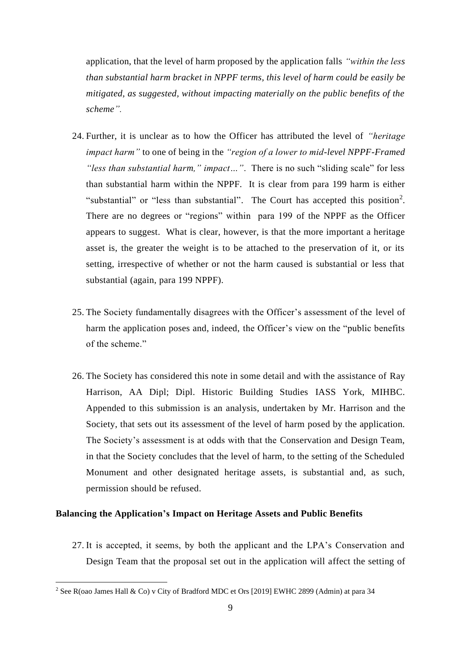application, that the level of harm proposed by the application falls *"within the less than substantial harm bracket in NPPF terms, this level of harm could be easily be mitigated, as suggested, without impacting materially on the public benefits of the scheme".*

- 24. Further, it is unclear as to how the Officer has attributed the level of *"heritage impact harm"* to one of being in the *"region of a lower to mid-level NPPF-Framed "less than substantial harm," impact…"*. There is no such "sliding scale" for less than substantial harm within the NPPF. It is clear from para 199 harm is either "substantial" or "less than substantial". The Court has accepted this position<sup>2</sup>. There are no degrees or "regions" within para 199 of the NPPF as the Officer appears to suggest. What is clear, however, is that the more important a heritage asset is, the greater the weight is to be attached to the preservation of it, or its setting, irrespective of whether or not the harm caused is substantial or less that substantial (again, para 199 NPPF).
- 25. The Society fundamentally disagrees with the Officer's assessment of the level of harm the application poses and, indeed, the Officer's view on the "public benefits of the scheme."
- 26. The Society has considered this note in some detail and with the assistance of Ray Harrison, AA Dipl; Dipl. Historic Building Studies IASS York, MIHBC. Appended to this submission is an analysis, undertaken by Mr. Harrison and the Society, that sets out its assessment of the level of harm posed by the application. The Society's assessment is at odds with that the Conservation and Design Team, in that the Society concludes that the level of harm, to the setting of the Scheduled Monument and other designated heritage assets, is substantial and, as such, permission should be refused.

# **Balancing the Application's Impact on Heritage Assets and Public Benefits**

27. It is accepted, it seems, by both the applicant and the LPA's Conservation and Design Team that the proposal set out in the application will affect the setting of

<sup>2</sup> See R(oao James Hall & Co) v City of Bradford MDC et Ors [2019] EWHC 2899 (Admin) at para 34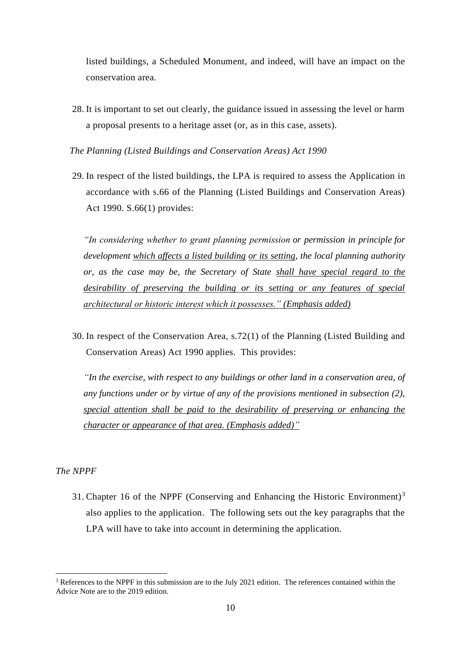listed buildings, a Scheduled Monument, and indeed, will have an impact on the conservation area.

- 28. It is important to set out clearly, the guidance issued in assessing the level or harm a proposal presents to a heritage asset (or, as in this case, assets).
- *The Planning (Listed Buildings and Conservation Areas) Act 1990*
- 29. In respect of the listed buildings, the LPA is required to assess the Application in accordance with s.66 of the Planning (Listed Buildings and Conservation Areas) Act 1990. S.66(1) provides:

*"In considering whether to grant planning permission or permission in principle for development which affects a listed building or its setting, the local planning authority or, as the case may be, the Secretary of State shall have special regard to the desirability of preserving the building or its setting or any features of special architectural or historic interest which it possesses." (Emphasis added)*

30. In respect of the Conservation Area, s.72(1) of the Planning (Listed Building and Conservation Areas) Act 1990 applies. This provides:

*"In the exercise, with respect to any buildings or other land in a conservation area, of any functions under or by virtue of any of the provisions mentioned in subsection (2), special attention shall be paid to the desirability of preserving or enhancing the character or appearance of that area. (Emphasis added)"*

## *The NPPF*

31. Chapter 16 of the NPPF (Conserving and Enhancing the Historic Environment)<sup>3</sup> also applies to the application. The following sets out the key paragraphs that the LPA will have to take into account in determining the application.

<sup>&</sup>lt;sup>3</sup> References to the NPPF in this submission are to the July 2021 edition. The references contained within the Advice Note are to the 2019 edition.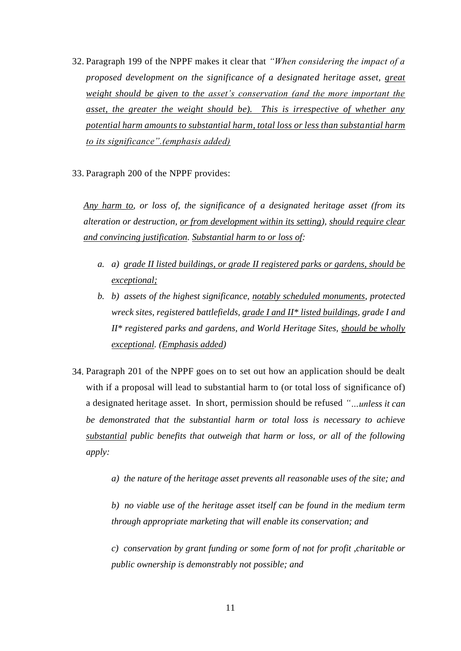- 32. Paragraph 199 of the NPPF makes it clear that *"When considering the impact of a proposed development on the significance of a designated heritage asset, great weight should be given to the asset's conservation (and the more important the asset, the greater the weight should be). This is irrespective of whether any potential harm amounts to substantial harm, total loss or less than substantial harm to its significance".(emphasis added)*
- 33. Paragraph 200 of the NPPF provides:

*Any harm to, or loss of, the significance of a designated heritage asset (from its alteration or destruction, or from development within its setting), should require clear and convincing justification. Substantial harm to or loss of:* 

- *a. a) grade II listed buildings, or grade II registered parks or gardens, should be exceptional;*
- *b. b) assets of the highest significance, notably scheduled monuments, protected wreck sites, registered battlefields, grade I and II\* listed buildings, grade I and II\* registered parks and gardens, and World Heritage Sites, should be wholly exceptional. (Emphasis added)*
- 34. Paragraph 201 of the NPPF goes on to set out how an application should be dealt with if a proposal will lead to substantial harm to (or total loss of significance of) a designated heritage asset. In short, permission should be refused *"…unless it can be demonstrated that the substantial harm or total loss is necessary to achieve substantial public benefits that outweigh that harm or loss, or all of the following apply:* 
	- *a) the nature of the heritage asset prevents all reasonable uses of the site; and*

*b) no viable use of the heritage asset itself can be found in the medium term through appropriate marketing that will enable its conservation; and* 

*c) conservation by grant funding or some form of not for profit ,charitable or public ownership is demonstrably not possible; and*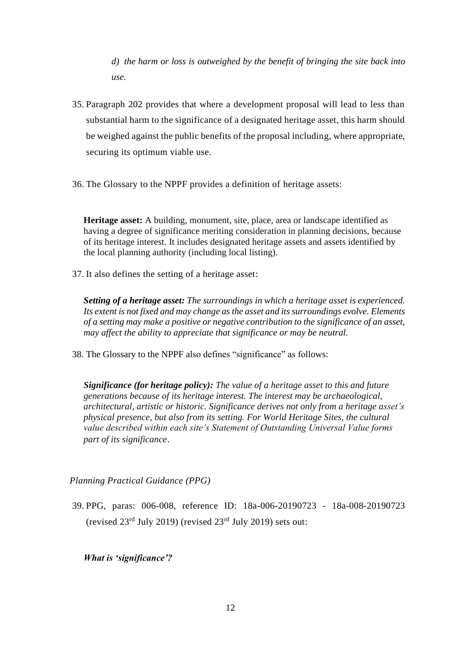*d) the harm or loss is outweighed by the benefit of bringing the site back into*  $\overline{u}$ *se*.

- 35. Paragraph 202 provides that where a development proposal will lead to less than substantial harm to the significance of a designated heritage asset, this harm should be weighed against the public benefits of the proposal including, where appropriate, securing its optimum viable use.
- 36. The Glossary to the NPPF provides a definition of heritage assets:

**Heritage asset:** A building, monument, site, place, area or landscape identified as having a degree of significance meriting consideration in planning decisions, because of its heritage interest. It includes designated heritage assets and assets identified by the local planning authority (including local listing).

37. It also defines the setting of a heritage asset:

*Setting of a heritage asset: The surroundings in which a heritage asset is experienced. Its extent is not fixed and may change as the asset and its surroundings evolve. Elements of a setting may make a positive or negative contribution to the significance of an asset, may affect the ability to appreciate that significance or may be neutral.* 

38. The Glossary to the NPPF also defines "significance" as follows:

*Significance (for heritage policy): The value of a heritage asset to this and future generations because of its heritage interest. The interest may be archaeological, architectural, artistic or historic. Significance derives not only from a heritage asset's physical presence, but also from its setting. For World Heritage Sites, the cultural value described within each site's Statement of Outstanding Universal Value forms part of its significance*.

*Planning Practical Guidance (PPG)*

39. PPG, paras: 006-008, reference ID: 18a-006-20190723 - 18a-008-20190723 (revised  $23^{\text{rd}}$  July 2019) (revised  $23^{\text{rd}}$  July 2019) sets out:

*What is 'significance'?*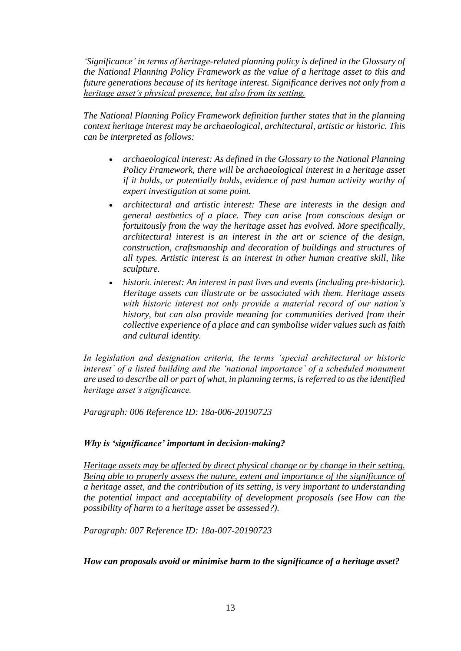*['Significance'](https://www.gov.uk/guidance/national-planning-policy-framework/annex-2-glossary) in terms of heritage-related planning policy is defined in the Glossary of [the National Planning Policy Framework](https://www.gov.uk/guidance/national-planning-policy-framework/annex-2-glossary) as the value of a heritage asse[t to this and](https://www.gov.uk/guidance/national-planning-policy-framework/annex-2-glossary)  future generations because of its heritage interest. Significance derives not only from a heritage asset's physical presence, but also from its setting.*

*The National Planning Policy Framework definition further states that in the planning context heritage interest may be archaeological, architectural, artistic or historic. This can be interpreted as follows:*

- *archaeological interest: As defined in the Glossary to the National Planning Policy Framework, there will be archaeological interest in a heritage asset if it holds, or potentially holds, evidence of past human activity worthy of expert investigation at some point.*
- *architectural and artistic interest: These are interests in the design and general aesthetics of a place. They can arise from conscious design or fortuitously from the way the heritage asset has evolved. More specifically, architectural interest is an interest in the art or science of the design, construction, craftsmanship and decoration of buildings and structures of all types. Artistic interest is an interest in other human creative skill, like sculpture.*
- *historic interest: An interest in past lives and events (including pre-historic). Heritage assets can illustrate or be associated with them. Heritage assets with historic interest not only provide a material record of our nation's history, but can also provide meaning for communities derived from their collective experience of a place and can symbolise wider values such as faith and cultural identity.*

*In legislation and designation criteria, the terms 'special architectural or historic interest' of a listed building and the 'national importance' of a scheduled monument are used to describe all or part of what, in planning terms, is referred to as the identified heritage asset's significance.*

*Paragraph: 006 Reference ID: 18a-006-20190723*

# *Why is 'significance' important in decision-making?*

*Heritage assets may be affected by direct physical change or by change in their setting. Being able to properly assess the nature, extent and importance of the significance of a heritage asset, and the contribution of its setting, is very important to understanding the potential impact and acceptability of development proposals (see [How can the](https://www.gov.uk/guidance/conserving-and-enhancing-the-historic-environment#assess-substantial-harm)  possibility [of harm to a heritage asset be assessed?\).](https://www.gov.uk/guidance/conserving-and-enhancing-the-historic-environment#assess-substantial-harm)*

*Paragraph: 007 Reference ID: 18a-007-20190723*

# *How can proposals avoid or minimise harm to the significance of a heritage asset?*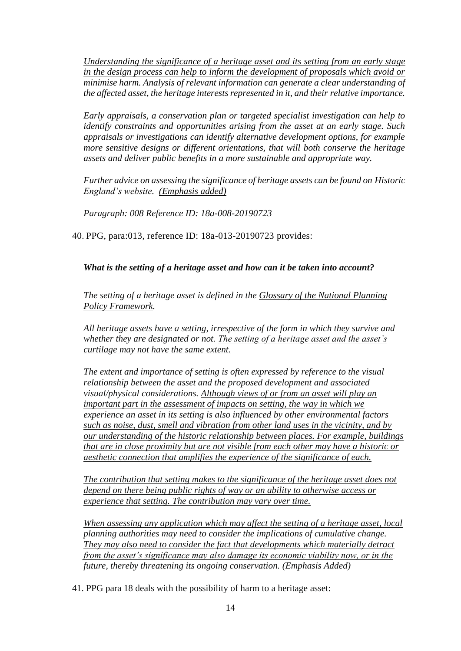*Understanding the significance of a heritage asset and its setting from an early stage in the design process can help to inform the development of proposals which avoid or minimise harm. Analysis of relevant information can generate a clear understanding of the affected asset, the heritage interests represented in it, and their [relative importance.](https://www.gov.uk/guidance/conserving-and-enhancing-the-historic-environment#significance)*

*Early appraisals, a conservation plan or targeted specialist investigation can help to identify constraints and opportunities arising from the asset at an early stage. Such appraisals or investigations can identify alternative development options, for example more sensitive designs or different orientations, that will both conserve the heritage assets and deliver public benefits in a more sustainable and appropriate way.*

*Further advice on assessing the significance of heritage assets can be found on [Historic](https://historicengland.org.uk/images-books/publications/gpa2-managing-significance-in-decision-taking/)  [England's website.](https://historicengland.org.uk/images-books/publications/gpa2-managing-significance-in-decision-taking/) (Emphasis added)*

*Paragraph: 008 Reference ID: 18a-008-20190723*

40. PPG, para:013, reference ID: 18a-013-20190723 provides:

*What is the setting of a heritage asset and how can it be taken into account?*

*The setting of a heritage asset is defined in the [Glossary of the National Planning](https://www.gov.uk/guidance/national-planning-policy-framework/annex-2-glossary)  [Policy Framework.](https://www.gov.uk/guidance/national-planning-policy-framework/annex-2-glossary)*

*All heritage assets have a setting, irrespective of the form in which they survive and whether they are designated or not. The setting of a heritage asset and the asset's curtilage may not have the same extent.*

*The extent and importance of setting is often expressed by reference to the visual relationship between the asset and the proposed development and associated visual/physical considerations. Although views of or from an asset will play an important part in the assessment of impacts on setting, the way in which we experience an asset in its setting is also influenced by other environmental factors such as noise, dust, smell and vibration from other land uses in the vicinity, and by our understanding of the historic relationship between places. For example, buildings that are in close proximity but are not visible from each other may have a historic or aesthetic connection that amplifies the experience of the significance of each.*

*The contribution that setting makes to the significance of the heritage asset does not depend on there being public rights of way or an ability to otherwise access or experience that setting. The contribution may vary over time.*

*When assessing any application which may affect the setting of a heritage asset, local planning authorities may need to consider the implications of cumulative change. They may also need to consider the fact that developments which materially detract from the asset's significance may also damage its economic viability now, or in the future, thereby threatening its ongoing conservation. (Emphasis Added)*

41. PPG para 18 deals with the possibility of harm to a heritage asset: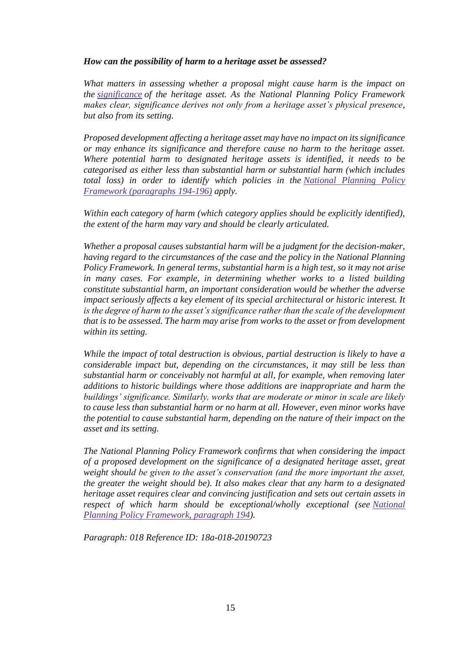# *How can the possibility of harm to a heritage asset be assessed?*

*What matters in assessing whether a proposal might cause harm is the impact on the [significance](https://www.gov.uk/guidance/national-planning-policy-framework/annex-2-glossary) of the heritage asset. As the National Planning Policy Framework makes clear, significance derives not only from a heritage asset's physical presence, but also from its setting.*

*Proposed development affecting a heritage asset may have no impact on its significance or may enhance its significance and therefore cause no harm to the heritage asset. Where potential harm to designated heritage assets is identified, it needs to be categorised as either less than substantial harm or substantial harm (which includes total loss) in order to identify which policies in the [National Planning Policy](https://www.gov.uk/guidance/national-planning-policy-framework/16-conserving-and-enhancing-the-historic-environment#para194)  [Framework \(paragraphs 194-196\)](https://www.gov.uk/guidance/national-planning-policy-framework/16-conserving-and-enhancing-the-historic-environment#para194) apply.*

*Within each category of harm (which category applies should be explicitly identified), the extent of the harm may vary and should be clearly articulated.*

*Whether a proposal causes substantial harm will be a judgment for the decision-maker, having regard to the circumstances of the case and the policy in the National Planning Policy Framework. In general terms, substantial harm is a high test, so it may not arise in many cases. For example, in determining whether works to a listed building constitute substantial harm, an important consideration would be whether the adverse impact seriously affects a key element of its special architectural or historic interest. It is the degree of harm to the asset's significance rather than the scale of the development that is to be assessed. The harm may arise from works to the asset or from development within its setting.*

*While the impact of total destruction is obvious, partial destruction is likely to have a considerable impact but, depending on the circumstances, it may still be less than substantial harm or conceivably not harmful at all, for example, when removing later additions to historic buildings where those additions are inappropriate and harm the buildings' significance. Similarly, works that are moderate or minor in scale are likely to cause less than substantial harm or no harm at all. However, even minor works have the potential to cause substantial harm, depending on the nature of their impact on the asset and its setting.*

*The National Planning Policy Framework confirms that when considering the impact of a proposed development on the significance of a designated heritage asset, great weight should be given to the asset's conservation (and the more important the asset, the greater the weight should be). It also makes clear that any harm to a designated heritage asset requires clear and convincing justification and sets out certain assets in respect of which harm should be exceptional/wholly exceptional (see [National](https://www.gov.uk/guidance/national-planning-policy-framework/16-conserving-and-enhancing-the-historic-environment#para194)  [Planning Policy Framework, paragraph 194\)](https://www.gov.uk/guidance/national-planning-policy-framework/16-conserving-and-enhancing-the-historic-environment#para194).*

*Paragraph: 018 Reference ID: 18a-018-20190723*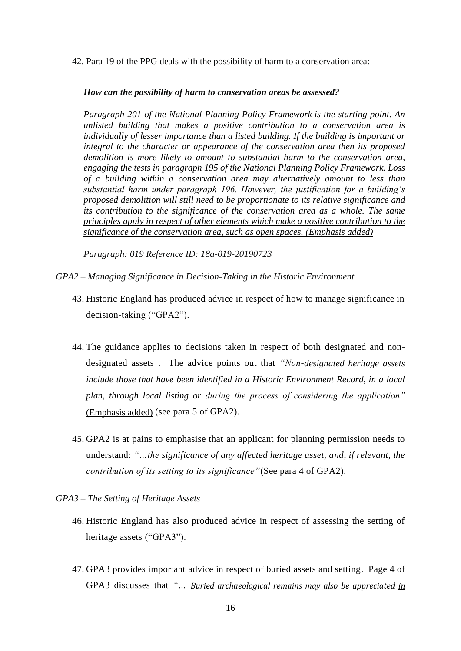42. Para 19 of the PPG deals with the possibility of harm to a conservation area:

#### *How can the possibility of harm to conservation areas be assessed?*

*[Paragraph 201 of the National Planning Policy Framework](https://www.gov.uk/guidance/national-planning-policy-framework/16-conserving-and-enhancing-the-historic-environment#para196) is the starting point. An unlisted building that makes a positive contribution to a conservation area is individually of lesser importance than a listed building. If the building is important or integral to the character or appearance of the conservation area then its proposed demolition is more likely to amount to substantial harm to the conservation area, engaging the tests in [paragraph 195 of the National Planning Policy Framework.](https://www.gov.uk/guidance/national-planning-policy-framework/16-conserving-and-enhancing-the-historic-environment#para195) Loss of a building within a conservation area may alternatively amount to less than substantial harm under paragraph 196. However, the justification for a building's proposed demolition will still need to be proportionate to its relative significance and its contribution to the significance of the conservation area as a whole. The same principles apply in respect of other elements which make a positive contribution to the significance of the conservation area, such as open spaces. (Emphasis added)*

*Paragraph: 019 Reference ID: 18a-019-20190723*

- *GPA2 – Managing Significance in Decision-Taking in the Historic Environment*
	- 43. Historic England has produced advice in respect of how to manage significance in decision-taking ("GPA2").
	- 44. The guidance applies to decisions taken in respect of both designated and nondesignated assets . The advice points out that *"Non-designated heritage assets include those that have been identified in a Historic Environment Record, in a local plan, through local listing or during the process of considering the application"* (Emphasis added) (see para 5 of GPA2).
	- 45. GPA2 is at pains to emphasise that an applicant for planning permission needs to understand: *"…the significance of any affected heritage asset, and, if relevant, the contribution of its setting to its significance"*(See para 4 of GPA2).
- *GPA3 – The Setting of Heritage Assets*
	- 46. Historic England has also produced advice in respect of assessing the setting of heritage assets ("GPA3").
	- 47. GPA3 provides important advice in respect of buried assets and setting. Page 4 of GPA3 discusses that *"… Buried archaeological remains may also be appreciated in*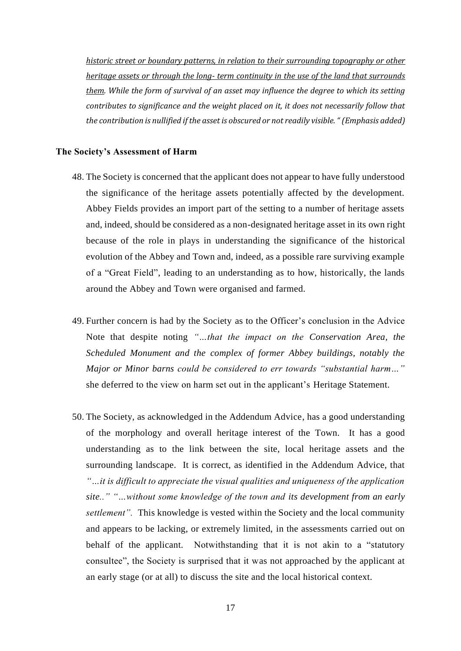*historic street or boundary patterns, in relation to their surrounding topography or other heritage assets or through the long- term continuity in the use of the land that surrounds them. While the form of survival of an asset may influence the degree to which its setting contributes to significance and the weight placed on it, it does not necessarily follow that the contribution is nullified if the asset is obscured or not readily visible. " (Emphasis added)*

### **The Society's Assessment of Harm**

- 48. The Society is concerned that the applicant does not appear to have fully understood the significance of the heritage assets potentially affected by the development. Abbey Fields provides an import part of the setting to a number of heritage assets and, indeed, should be considered as a non-designated heritage asset in its own right because of the role in plays in understanding the significance of the historical evolution of the Abbey and Town and, indeed, as a possible rare surviving example of a "Great Field", leading to an understanding as to how, historically, the lands around the Abbey and Town were organised and farmed.
- 49. Further concern is had by the Society as to the Officer's conclusion in the Advice Note that despite noting *"…that the impact on the Conservation Area, the Scheduled Monument and the complex of former Abbey buildings, notably the Major or Minor barns could be considered to err towards "substantial harm…"* she deferred to the view on harm set out in the applicant's Heritage Statement.
- 50. The Society, as acknowledged in the Addendum Advice, has a good understanding of the morphology and overall heritage interest of the Town. It has a good understanding as to the link between the site, local heritage assets and the surrounding landscape. It is correct, as identified in the Addendum Advice, that *"…it is difficult to appreciate the visual qualities and uniqueness of the application site.." "…without some knowledge of the town and its development from an early settlement".* This knowledge is vested within the Society and the local community and appears to be lacking, or extremely limited, in the assessments carried out on behalf of the applicant. Notwithstanding that it is not akin to a "statutory consultee", the Society is surprised that it was not approached by the applicant at an early stage (or at all) to discuss the site and the local historical context.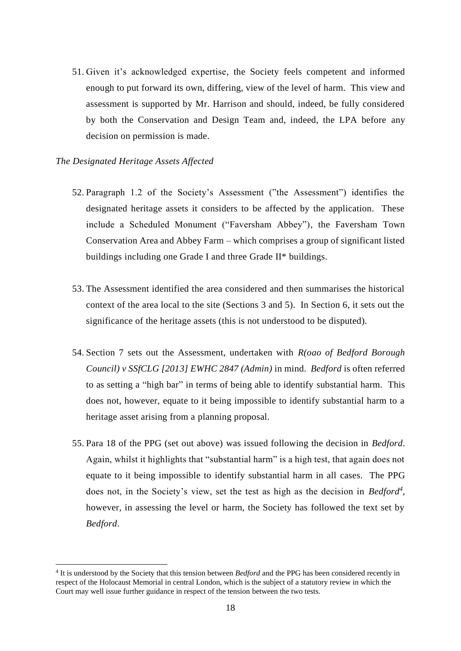51. Given it's acknowledged expertise, the Society feels competent and informed enough to put forward its own, differing, view of the level of harm. This view and assessment is supported by Mr. Harrison and should, indeed, be fully considered by both the Conservation and Design Team and, indeed, the LPA before any decision on permission is made.

### *The Designated Heritage Assets Affected*

- 52. Paragraph 1.2 of the Society's Assessment ("the Assessment") identifies the designated heritage assets it considers to be affected by the application. These include a Scheduled Monument ("Faversham Abbey"), the Faversham Town Conservation Area and Abbey Farm – which comprises a group of significant listed buildings including one Grade I and three Grade II\* buildings.
- 53. The Assessment identified the area considered and then summarises the historical context of the area local to the site (Sections 3 and 5). In Section 6, it sets out the significance of the heritage assets (this is not understood to be disputed).
- 54. Section 7 sets out the Assessment, undertaken with *R(oao of Bedford Borough Council) v SSfCLG [2013] EWHC 2847 (Admin)* in mind. *Bedford* is often referred to as setting a "high bar" in terms of being able to identify substantial harm. This does not, however, equate to it being impossible to identify substantial harm to a heritage asset arising from a planning proposal.
- 55. Para 18 of the PPG (set out above) was issued following the decision in *Bedford*. Again, whilst it highlights that "substantial harm" is a high test, that again does not equate to it being impossible to identify substantial harm in all cases. The PPG does not, in the Society's view, set the test as high as the decision in *Bedford<sup>4</sup>*, however, in assessing the level or harm, the Society has followed the text set by *Bedford*.

<sup>4</sup> It is understood by the Society that this tension between *Bedford* and the PPG has been considered recently in respect of the Holocaust Memorial in central London, which is the subject of a statutory review in which the Court may well issue further guidance in respect of the tension between the two tests.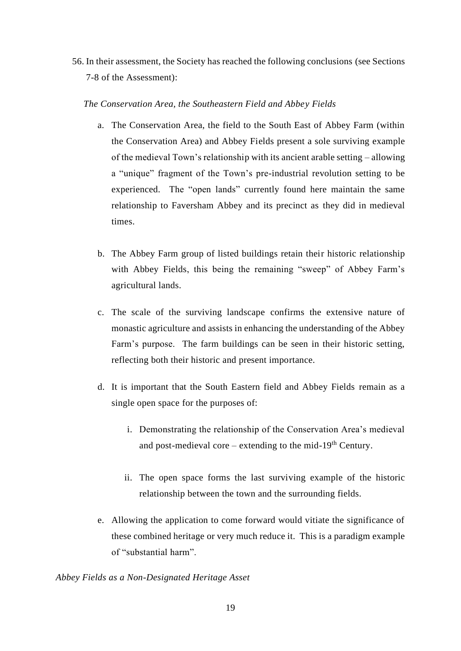56. In their assessment, the Society has reached the following conclusions (see Sections 7-8 of the Assessment):

# *The Conservation Area, the Southeastern Field and Abbey Fields*

- a. The Conservation Area, the field to the South East of Abbey Farm (within the Conservation Area) and Abbey Fields present a sole surviving example of the medieval Town's relationship with its ancient arable setting – allowing a "unique" fragment of the Town's pre-industrial revolution setting to be experienced. The "open lands" currently found here maintain the same relationship to Faversham Abbey and its precinct as they did in medieval times.
- b. The Abbey Farm group of listed buildings retain their historic relationship with Abbey Fields, this being the remaining "sweep" of Abbey Farm's agricultural lands.
- c. The scale of the surviving landscape confirms the extensive nature of monastic agriculture and assists in enhancing the understanding of the Abbey Farm's purpose. The farm buildings can be seen in their historic setting, reflecting both their historic and present importance.
- d. It is important that the South Eastern field and Abbey Fields remain as a single open space for the purposes of:
	- i. Demonstrating the relationship of the Conservation Area's medieval and post-medieval core – extending to the mid-19<sup>th</sup> Century.
	- ii. The open space forms the last surviving example of the historic relationship between the town and the surrounding fields.
- e. Allowing the application to come forward would vitiate the significance of these combined heritage or very much reduce it. This is a paradigm example of "substantial harm".

## *Abbey Fields as a Non-Designated Heritage Asset*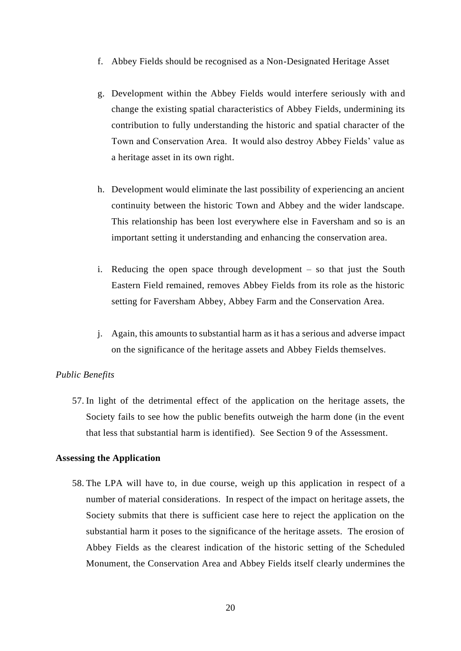- f. Abbey Fields should be recognised as a Non-Designated Heritage Asset
- g. Development within the Abbey Fields would interfere seriously with and change the existing spatial characteristics of Abbey Fields, undermining its contribution to fully understanding the historic and spatial character of the Town and Conservation Area. It would also destroy Abbey Fields' value as a heritage asset in its own right.
- h. Development would eliminate the last possibility of experiencing an ancient continuity between the historic Town and Abbey and the wider landscape. This relationship has been lost everywhere else in Faversham and so is an important setting it understanding and enhancing the conservation area.
- i. Reducing the open space through development so that just the South Eastern Field remained, removes Abbey Fields from its role as the historic setting for Faversham Abbey, Abbey Farm and the Conservation Area.
- j. Again, this amounts to substantial harm as it has a serious and adverse impact on the significance of the heritage assets and Abbey Fields themselves.

#### *Public Benefits*

57. In light of the detrimental effect of the application on the heritage assets, the Society fails to see how the public benefits outweigh the harm done (in the event that less that substantial harm is identified). See Section 9 of the Assessment.

#### **Assessing the Application**

58. The LPA will have to, in due course, weigh up this application in respect of a number of material considerations. In respect of the impact on heritage assets, the Society submits that there is sufficient case here to reject the application on the substantial harm it poses to the significance of the heritage assets. The erosion of Abbey Fields as the clearest indication of the historic setting of the Scheduled Monument, the Conservation Area and Abbey Fields itself clearly undermines the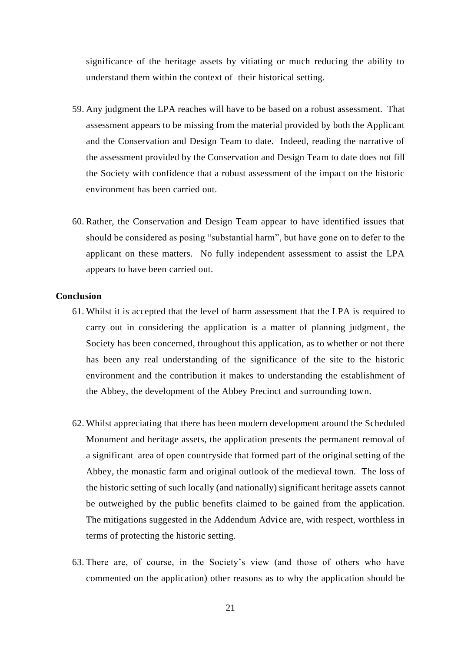significance of the heritage assets by vitiating or much reducing the ability to understand them within the context of their historical setting.

- 59. Any judgment the LPA reaches will have to be based on a robust assessment. That assessment appears to be missing from the material provided by both the Applicant and the Conservation and Design Team to date. Indeed, reading the narrative of the assessment provided by the Conservation and Design Team to date does not fill the Society with confidence that a robust assessment of the impact on the historic environment has been carried out.
- 60. Rather, the Conservation and Design Team appear to have identified issues that should be considered as posing "substantial harm", but have gone on to defer to the applicant on these matters. No fully independent assessment to assist the LPA appears to have been carried out.

## **Conclusion**

- 61. Whilst it is accepted that the level of harm assessment that the LPA is required to carry out in considering the application is a matter of planning judgment, the Society has been concerned, throughout this application, as to whether or not there has been any real understanding of the significance of the site to the historic environment and the contribution it makes to understanding the establishment of the Abbey, the development of the Abbey Precinct and surrounding town.
- 62. Whilst appreciating that there has been modern development around the Scheduled Monument and heritage assets, the application presents the permanent removal of a significant area of open countryside that formed part of the original setting of the Abbey, the monastic farm and original outlook of the medieval town. The loss of the historic setting of such locally (and nationally) significant heritage assets cannot be outweighed by the public benefits claimed to be gained from the application. The mitigations suggested in the Addendum Advice are, with respect, worthless in terms of protecting the historic setting.
- 63. There are, of course, in the Society's view (and those of others who have commented on the application) other reasons as to why the application should be